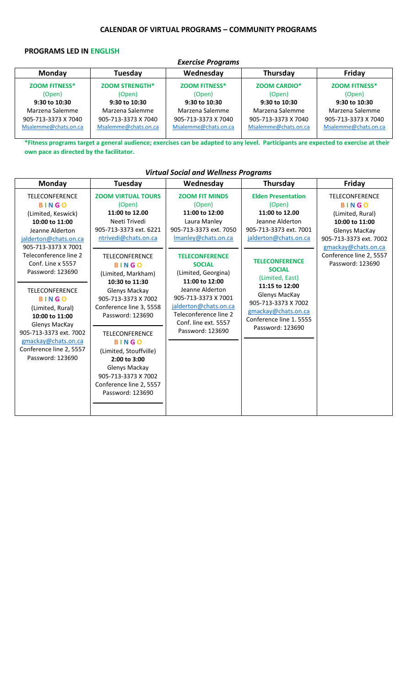### **CALENDAR OF VIRTUAL PROGRAMS – COMMUNITY PROGRAMS**

### **PROGRAMS LED IN ENGLISH**

| <b>Exercise Programs</b> |                       |                      |                      |                      |  |
|--------------------------|-----------------------|----------------------|----------------------|----------------------|--|
| <b>Monday</b>            | Tuesday               | Wednesday            | Thursday             | Friday               |  |
| <b>ZOOM FITNESS*</b>     | <b>ZOOM STRENGTH*</b> | <b>ZOOM FITNESS*</b> | <b>ZOOM CARDIO*</b>  | <b>ZOOM FITNESS*</b> |  |
| (Open)                   | (Open)                | (Open)               | (Open)               | (Open)               |  |
| 9:30 to 10:30            | 9:30 to 10:30         | 9:30 to 10:30        | 9:30 to 10:30        | 9:30 to 10:30        |  |
| Marzena Salemme          | Marzena Salemme       | Marzena Salemme      | Marzena Salemme      | Marzena Salemme      |  |
| 905-713-3373 X 7040      | 905-713-3373 X 7040   | 905-713-3373 X 7040  | 905-713-3373 X 7040  | 905-713-3373 X 7040  |  |
| Msalemme@chats.on.ca     | Msalemme@chats.on.ca  | Msalemme@chats.on.ca | Msalemme@chats.on.ca | Msalemme@chats.on.ca |  |

**\*Fitness programs target a general audience; exercises can be adapted to any level. Participants are expected to exercise at their own pace as directed by the facilitator.**

## *Virtual Social and Wellness Programs*

| <b>Monday</b>                                                                                                                                                                                                                                                                                                                                                                                                      | Tuesday                                                                                                                                                                                                                                                                                                                                                                                                                                                                    | Wednesday                                                                                                                                                                                                                                                                                                                                     | Thursday                                                                                                                                                                                                                                                                                                                 | Friday                                                                                                                                                                                       |
|--------------------------------------------------------------------------------------------------------------------------------------------------------------------------------------------------------------------------------------------------------------------------------------------------------------------------------------------------------------------------------------------------------------------|----------------------------------------------------------------------------------------------------------------------------------------------------------------------------------------------------------------------------------------------------------------------------------------------------------------------------------------------------------------------------------------------------------------------------------------------------------------------------|-----------------------------------------------------------------------------------------------------------------------------------------------------------------------------------------------------------------------------------------------------------------------------------------------------------------------------------------------|--------------------------------------------------------------------------------------------------------------------------------------------------------------------------------------------------------------------------------------------------------------------------------------------------------------------------|----------------------------------------------------------------------------------------------------------------------------------------------------------------------------------------------|
| <b>TELECONFERENCE</b><br><b>BINGO</b><br>(Limited, Keswick)<br>10:00 to 11:00<br>Jeanne Alderton<br>jalderton@chats.on.ca<br>905-713-3373 X 7001<br>Teleconference line 2<br>Conf. Line x 5557<br>Password: 123690<br><b>TELECONFERENCE</b><br><b>BINGO</b><br>(Limited, Rural)<br>10:00 to 11:00<br>Glenys MacKay<br>905-713-3373 ext. 7002<br>gmackay@chats.on.ca<br>Conference line 2, 5557<br>Password: 123690 | <b>ZOOM VIRTUAL TOURS</b><br>(Open)<br>11:00 to 12.00<br>Neeti Trivedi<br>905-713-3373 ext. 6221<br>ntrivedi@chats.on.ca<br><b>TELECONFERENCE</b><br><b>BINGO</b><br>(Limited, Markham)<br>10:30 to 11:30<br>Glenys Mackay<br>905-713-3373 X 7002<br>Conference line 3, 5558<br>Password: 123690<br><b>TELECONFERENCE</b><br><b>BINGO</b><br>(Limited, Stouffville)<br>2:00 to 3:00<br>Glenys Mackay<br>905-713-3373 X 7002<br>Conference line 2, 5557<br>Password: 123690 | <b>ZOOM FIT MINDS</b><br>(Open)<br>11:00 to 12:00<br>Laura Manley<br>905-713-3373 ext. 7050<br>Imanley@chats.on.ca<br><b>TELECONFERENCE</b><br><b>SOCIAL</b><br>(Limited, Georgina)<br>11:00 to 12:00<br>Jeanne Alderton<br>905-713-3373 X 7001<br>jalderton@chats.on.ca<br>Teleconference line 2<br>Conf. line ext. 5557<br>Password: 123690 | <b>Elden Presentation</b><br>(Open)<br>11:00 to 12.00<br>Jeanne Alderton<br>905-713-3373 ext. 7001<br>jalderton@chats.on.ca<br><b>TELECONFERENCE</b><br><b>SOCIAL</b><br>(Limited, East)<br>11:15 to 12:00<br>Glenys MacKay<br>905-713-3373 X 7002<br>gmackay@chats.on.ca<br>Conference line 1, 5555<br>Password: 123690 | <b>TELECONFERENCE</b><br><b>BINGO</b><br>(Limited, Rural)<br>10:00 to 11:00<br>Glenys MacKay<br>905-713-3373 ext. 7002<br>gmackay@chats.on.ca<br>Conference line 2, 5557<br>Password: 123690 |
|                                                                                                                                                                                                                                                                                                                                                                                                                    |                                                                                                                                                                                                                                                                                                                                                                                                                                                                            |                                                                                                                                                                                                                                                                                                                                               |                                                                                                                                                                                                                                                                                                                          |                                                                                                                                                                                              |